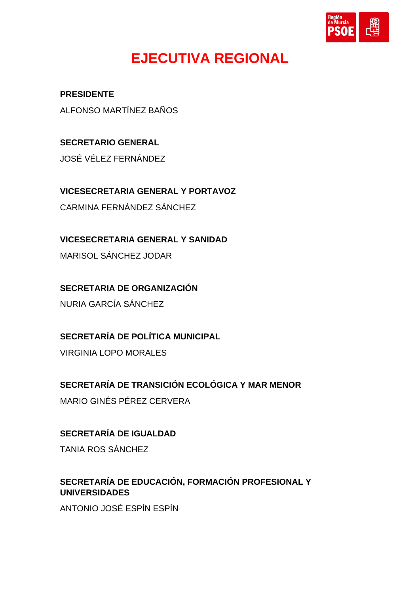

## **EJECUTIVA REGIONAL**

**PRESIDENTE** ALFONSO MARTÍNEZ BAÑOS

**SECRETARIO GENERAL** JOSÉ VÉLEZ FERNÁNDEZ

**VICESECRETARIA GENERAL Y PORTAVOZ** CARMINA FERNÁNDEZ SÁNCHEZ

**VICESECRETARIA GENERAL Y SANIDAD** MARISOL SÁNCHEZ JODAR

**SECRETARIA DE ORGANIZACIÓN**

NURIA GARCÍA SÁNCHEZ

**SECRETARÍA DE POLÍTICA MUNICIPAL**

VIRGINIA LOPO MORALES

**SECRETARÍA DE TRANSICIÓN ECOLÓGICA Y MAR MENOR**

MARIO GINÉS PÉREZ CERVERA

**SECRETARÍA DE IGUALDAD**

TANIA ROS SÁNCHEZ

## **SECRETARÍA DE EDUCACIÓN, FORMACIÓN PROFESIONAL Y UNIVERSIDADES**

ANTONIO JOSÉ ESPÍN ESPÍN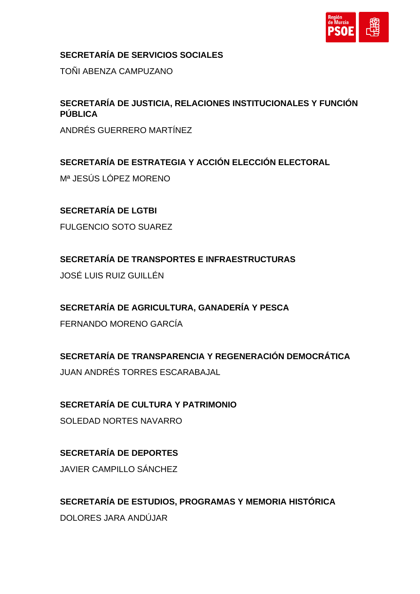

#### **SECRETARÍA DE SERVICIOS SOCIALES**

TOÑI ABENZA CAMPUZANO

#### **SECRETARÍA DE JUSTICIA, RELACIONES INSTITUCIONALES Y FUNCIÓN PÚBLICA**

ANDRÉS GUERRERO MARTÍNEZ

### **SECRETARÍA DE ESTRATEGIA Y ACCIÓN ELECCIÓN ELECTORAL**

Mª JESÚS LÓPEZ MORENO

#### **SECRETARÍA DE LGTBI**

FULGENCIO SOTO SUAREZ

**SECRETARÍA DE TRANSPORTES E INFRAESTRUCTURAS**

JOSÉ LUIS RUIZ GUILLÉN

#### **SECRETARÍA DE AGRICULTURA, GANADERÍA Y PESCA**

FERNANDO MORENO GARCÍA

## **SECRETARÍA DE TRANSPARENCIA Y REGENERACIÓN DEMOCRÁTICA**

JUAN ANDRÉS TORRES ESCARABAJAL

## **SECRETARÍA DE CULTURA Y PATRIMONIO**

SOLEDAD NORTES NAVARRO

## **SECRETARÍA DE DEPORTES** JAVIER CAMPILLO SÁNCHEZ

**SECRETARÍA DE ESTUDIOS, PROGRAMAS Y MEMORIA HISTÓRICA** DOLORES JARA ANDÚJAR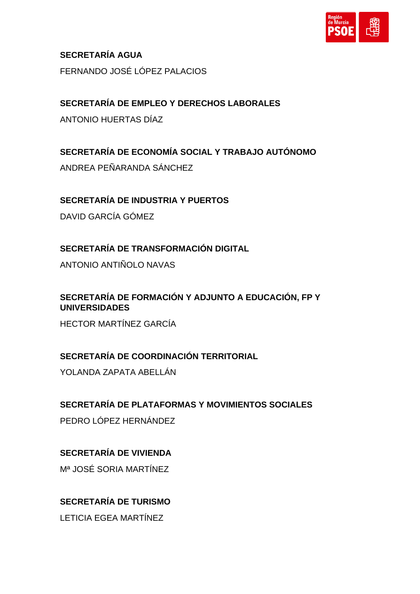

**SECRETARÍA AGUA** FERNANDO JOSÉ LÓPEZ PALACIOS

**SECRETARÍA DE EMPLEO Y DERECHOS LABORALES**

ANTONIO HUERTAS DÍAZ

## **SECRETARÍA DE ECONOMÍA SOCIAL Y TRABAJO AUTÓNOMO**

ANDREA PEÑARANDA SÁNCHEZ

## **SECRETARÍA DE INDUSTRIA Y PUERTOS**

DAVID GARCÍA GÓMEZ

**SECRETARÍA DE TRANSFORMACIÓN DIGITAL**

ANTONIO ANTIÑOLO NAVAS

**SECRETARÍA DE FORMACIÓN Y ADJUNTO A EDUCACIÓN, FP Y UNIVERSIDADES**

HECTOR MARTÍNEZ GARCÍA

### **SECRETARÍA DE COORDINACIÓN TERRITORIAL**

YOLANDA ZAPATA ABELLÁN

#### **SECRETARÍA DE PLATAFORMAS Y MOVIMIENTOS SOCIALES**

PEDRO LÓPEZ HERNÁNDEZ

### **SECRETARÍA DE VIVIENDA**

Mª JOSÉ SORIA MARTÍNEZ

### **SECRETARÍA DE TURISMO**

LETICIA EGEA MARTÍNEZ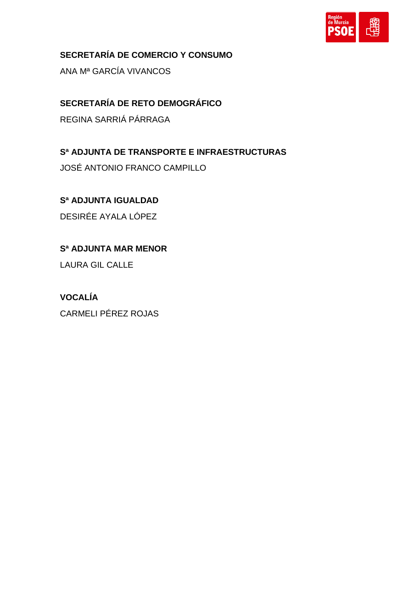

**SECRETARÍA DE COMERCIO Y CONSUMO**

ANA Mª GARCÍA VIVANCOS

**SECRETARÍA DE RETO DEMOGRÁFICO** REGINA SARRIÁ PÁRRAGA

**Sª ADJUNTA DE TRANSPORTE E INFRAESTRUCTURAS** JOSÉ ANTONIO FRANCO CAMPILLO

**Sª ADJUNTA IGUALDAD** DESIRÉE AYALA LÓPEZ

**Sª ADJUNTA MAR MENOR**

LAURA GIL CALLE

**VOCALÍA** CARMELI PÉREZ ROJAS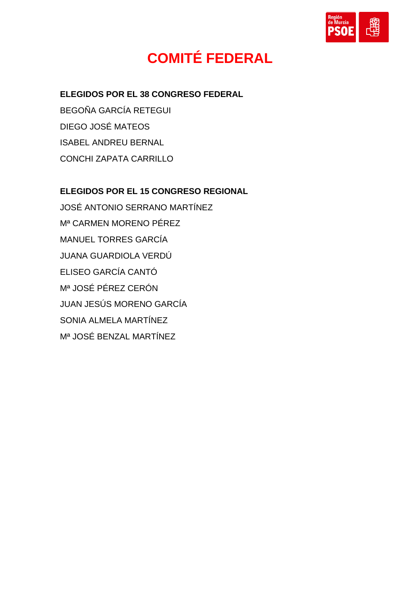

## **COMITÉ FEDERAL**

#### **ELEGIDOS POR EL 38 CONGRESO FEDERAL**

BEGOÑA GARCÍA RETEGUI DIEGO JOSÉ MATEOS ISABEL ANDREU BERNAL CONCHI ZAPATA CARRILLO

#### **ELEGIDOS POR EL 15 CONGRESO REGIONAL**

JOSÉ ANTONIO SERRANO MARTÍNEZ Mª CARMEN MORENO PÉREZ MANUEL TORRES GARCÍA JUANA GUARDIOLA VERDÚ ELISEO GARCÍA CANTÓ Mª JOSÉ PÉREZ CERÓN JUAN JESÚS MORENO GARCÍA SONIA ALMELA MARTÍNEZ Mª JOSÉ BENZAL MARTÍNEZ